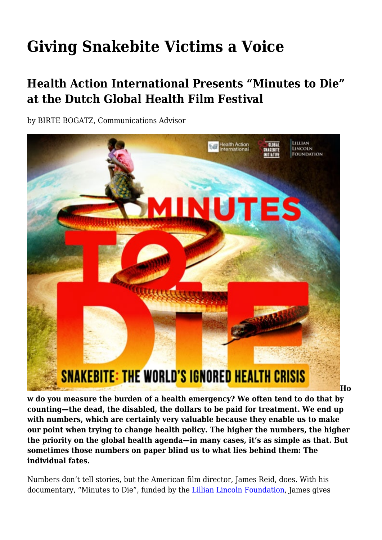## **Giving Snakebite Victims a Voice**

## **Health Action International Presents "Minutes to Die" at the Dutch Global Health Film Festival**

by BIRTE BOGATZ, Communications Advisor



**w do you measure the burden of a health emergency? We often tend to do that by counting—the dead, the disabled, the dollars to be paid for treatment. We end up with numbers, which are certainly very valuable because they enable us to make our point when trying to change health policy. The higher the numbers, the higher the priority on the global health agenda—in many cases, it's as simple as that. But sometimes those numbers on paper blind us to what lies behind them: The individual fates.**

Numbers don't tell stories, but the American film director, James Reid, does. With his documentary, "Minutes to Die", funded by the [Lillian Lincoln Foundation,](https://www.lillianlincolnfoundation.org/) James gives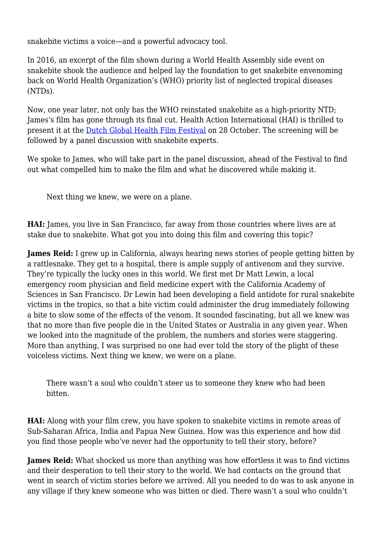snakebite victims a voice—and a powerful advocacy tool.

In 2016, an excerpt of the film shown during a World Health Assembly side event on snakebite shook the audience and helped lay the foundation to get snakebite envenoming back on World Health Organization's (WHO) priority list of neglected tropical diseases (NTDs).

Now, one year later, not only has the WHO reinstated snakebite as a high-priority NTD; James's film has gone through its final cut. Health Action International (HAI) is thrilled to present it at the [Dutch Global Health Film Festival](https://www.facebook.com/DutchGlobalHealthFilmFestival/) on 28 October. The screening will be followed by a panel discussion with snakebite experts.

We spoke to James, who will take part in the panel discussion, ahead of the Festival to find out what compelled him to make the film and what he discovered while making it.

Next thing we knew, we were on a plane.

**HAI:** James, you live in San Francisco, far away from those countries where lives are at stake due to snakebite. What got you into doing this film and covering this topic?

**James Reid:** I grew up in California, always hearing news stories of people getting bitten by a rattlesnake. They get to a hospital, there is ample supply of antivenom and they survive. They're typically the lucky ones in this world. We first met Dr Matt Lewin, a local emergency room physician and field medicine expert with the California Academy of Sciences in San Francisco. Dr Lewin had been developing a field antidote for rural snakebite victims in the tropics, so that a bite victim could administer the drug immediately following a bite to slow some of the effects of the venom. It sounded fascinating, but all we knew was that no more than five people die in the United States or Australia in any given year. When we looked into the magnitude of the problem, the numbers and stories were staggering. More than anything, I was surprised no one had ever told the story of the plight of these voiceless victims. Next thing we knew, we were on a plane.

There wasn't a soul who couldn't steer us to someone they knew who had been bitten.

**HAI:** Along with your film crew, you have spoken to snakebite victims in remote areas of Sub-Saharan Africa, India and Papua New Guinea. How was this experience and how did you find those people who've never had the opportunity to tell their story, before?

**James Reid:** What shocked us more than anything was how effortless it was to find victims and their desperation to tell their story to the world. We had contacts on the ground that went in search of victim stories before we arrived. All you needed to do was to ask anyone in any village if they knew someone who was bitten or died. There wasn't a soul who couldn't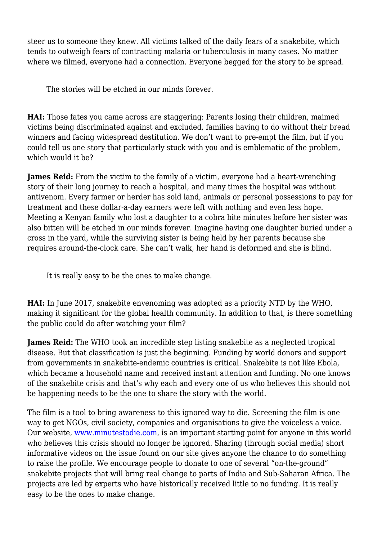steer us to someone they knew. All victims talked of the daily fears of a snakebite, which tends to outweigh fears of contracting malaria or tuberculosis in many cases. No matter where we filmed, everyone had a connection. Everyone begged for the story to be spread.

The stories will be etched in our minds forever.

**HAI:** Those fates you came across are staggering: Parents losing their children, maimed victims being discriminated against and excluded, families having to do without their bread winners and facing widespread destitution. We don't want to pre-empt the film, but if you could tell us one story that particularly stuck with you and is emblematic of the problem, which would it be?

**James Reid:** From the victim to the family of a victim, everyone had a heart-wrenching story of their long journey to reach a hospital, and many times the hospital was without antivenom. Every farmer or herder has sold land, animals or personal possessions to pay for treatment and these dollar-a-day earners were left with nothing and even less hope. Meeting a Kenyan family who lost a daughter to a cobra bite minutes before her sister was also bitten will be etched in our minds forever. Imagine having one daughter buried under a cross in the yard, while the surviving sister is being held by her parents because she requires around-the-clock care. She can't walk, her hand is deformed and she is blind.

It is really easy to be the ones to make change.

**HAI:** In June 2017, snakebite envenoming was adopted as a priority NTD by the WHO, making it significant for the global health community. In addition to that, is there something the public could do after watching your film?

**James Reid:** The WHO took an incredible step listing snakebite as a neglected tropical disease. But that classification is just the beginning. Funding by world donors and support from governments in snakebite-endemic countries is critical. Snakebite is not like Ebola, which became a household name and received instant attention and funding. No one knows of the snakebite crisis and that's why each and every one of us who believes this should not be happening needs to be the one to share the story with the world.

The film is a tool to bring awareness to this ignored way to die. Screening the film is one way to get NGOs, civil society, companies and organisations to give the voiceless a voice. Our website, [www.minutestodie.com,](http://www.minutestodie.com) is an important starting point for anyone in this world who believes this crisis should no longer be ignored. Sharing (through social media) short informative videos on the issue found on our site gives anyone the chance to do something to raise the profile. We encourage people to donate to one of several "on-the-ground" snakebite projects that will bring real change to parts of India and Sub-Saharan Africa. The projects are led by experts who have historically received little to no funding. It is really easy to be the ones to make change.